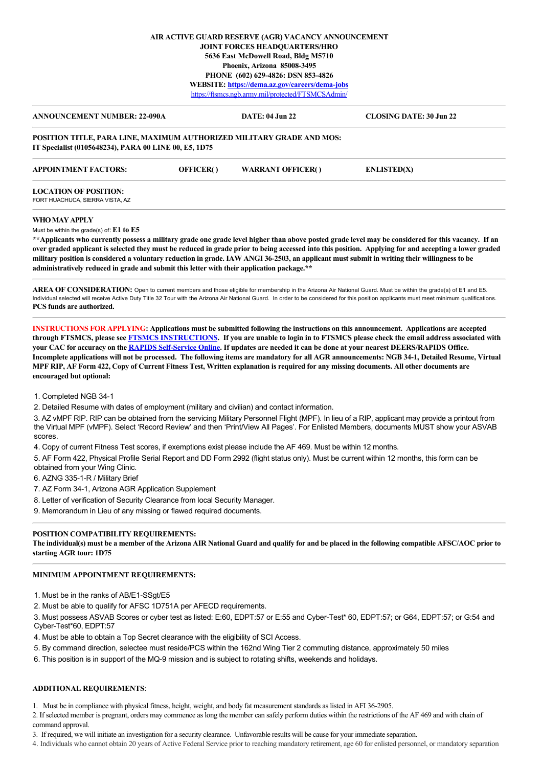# **AIR ACTIVE GUARD RESERVE (AGR) VACANCY ANNOUNCEMENT JOINT FORCES HEADQUARTERS/HRO 5636 East McDowell Road, Bldg M5710 Phoenix, Arizona 85008-3495 PHONE (602) 629-4826: DSN 853-4826 WEBSITE: <https://dema.az.gov/careers/dema-jobs>** <https://ftsmcs.ngb.army.mil/protected/FTSMCSAdmin/>

| <b>ANNOUNCEMENT NUMBER: 22-090A</b>                                                                                            |                  | <b>DATE: 04 Jun 22</b>   | <b>CLOSING DATE: 30 Jun 22</b> |
|--------------------------------------------------------------------------------------------------------------------------------|------------------|--------------------------|--------------------------------|
| POSITION TITLE, PARA LINE, MAXIMUM AUTHORIZED MILITARY GRADE AND MOS:<br>IT Specialist (0105648234), PARA 00 LINE 00, E5, 1D75 |                  |                          |                                |
| <b>APPOINTMENT FACTORS:</b>                                                                                                    | <b>OFFICER()</b> | <b>WARRANT OFFICER()</b> | <b>ENLISTED(X)</b>             |
| <b>LOCATION OF POSITION:</b>                                                                                                   |                  |                          |                                |
| FORT HUACHUCA, SIERRA VISTA, AZ                                                                                                |                  |                          |                                |
| WHO MAY APPLY                                                                                                                  |                  |                          |                                |
| Must be within the grade(s) of: $E1$ to $E5$                                                                                   |                  |                          |                                |

**\*\*Applicants who currently possess a military grade one grade level higher than above posted grade level may be considered for this vacancy. If an over graded applicant is selected they must be reduced in grade prior to being accessed into this position. Applying for and accepting a lower graded military position is considered a voluntary reduction in grade. IAW ANGI 36-2503, an applicant must submit in writing their willingness to be administratively reduced in grade and submit this letter with their application package.\*\***

AREA OF CONSIDERATION: Open to current members and those eligible for membership in the Arizona Air National Guard. Must be within the grade(s) of E1 and E5. Individual selected will receive Active Duty Title 32 Tour with the Arizona Air National Guard. In order to be considered for this position applicants must meet minimum qualifications. **PCS funds are authorized.**

**INSTRUCTIONS FOR APPLYING: Applications must be submitted following the instructions on this announcement. Applications are accepted through FTSMCS, please see [FTSMCS INSTRUCTIONS.](https://dema.az.gov/sites/default/files/HRO%20Important%20Documents/FTSMCS%20Application%20instructions.pdf) If you are unable to login in to FTSMCS please check the email address associated with your CAC for accuracy on the [RAPIDS Self-Service Online.](https://pki.dmdc.osd.mil/self_service/rapids/unauthenticated?execution=e1s1) If updates are needed it can be done at your nearest DEERS/RAPIDS Office. Incomplete applications will not be processed. The following items are mandatory for all AGR announcements: NGB 34-1, Detailed Resume, Virtual MPF RIP, AF Form 422, Copy of Current Fitness Test, Written explanation is required for any missing documents. All other documents are encouraged but optional:**

1. Completed NGB 34-1

2. Detailed Resume with dates of employment (military and civilian) and contact information.

3. AZ vMPF RIP. RIP can be obtained from the servicing Military Personnel Flight (MPF). In lieu of a RIP, applicant may provide a printout from the Virtual MPF (vMPF). Select 'Record Review' and then 'Print/View All Pages'. For Enlisted Members, documents MUST show your ASVAB scores.

4. Copy of current Fitness Test scores, if exemptions exist please include the AF 469. Must be within 12 months.

5. AF Form 422, Physical Profile Serial Report and DD Form 2992 (flight status only). Must be current within 12 months, this form can be obtained from your Wing Clinic.

6. AZNG 335-1-R / Military Brief

7. AZ Form 34-1, Arizona AGR Application Supplement

8. Letter of verification of Security Clearance from local Security Manager.

9. Memorandum in Lieu of any missing or flawed required documents.

# **POSITION COMPATIBILITY REQUIREMENTS:**

**The individual(s) must be a member of the Arizona AIR National Guard and qualify for and be placed in the following compatible AFSC/AOC prior to starting AGR tour: 1D75**

# **MINIMUM APPOINTMENT REQUIREMENTS:**

1. Must be in the ranks of AB/E1-SSgt/E5

2. Must be able to qualify for AFSC 1D751A per AFECD requirements.

3. Must possess ASVAB Scores or cyber test as listed: E:60, EDPT:57 or E:55 and Cyber-Test\* 60, EDPT:57; or G64, EDPT:57; or G:54 and Cyber-Test\*60, EDPT:57

4. Must be able to obtain a Top Secret clearance with the eligibility of SCI Access.

5. By command direction, selectee must reside/PCS within the 162nd Wing Tier 2 commuting distance, approximately 50 miles

6. This position is in support of the MQ-9 mission and is subject to rotating shifts, weekends and holidays.

### **ADDITIONAL REQUIREMENTS**:

1. Must be in compliance with physical fitness, height, weight, and body fat measurement standards as listed in AFI 36-2905.

2. If selected member is pregnant, orders may commence as long the member can safely perform duties within the restrictions of the AF 469 and with chain of command approval.

3. If required, we will initiate an investigation for a security clearance. Unfavorable results will be cause for your immediate separation.

4. Individuals who cannot obtain 20 years of Active Federal Service prior to reaching mandatory retirement, age 60 for enlisted personnel, or mandatory separation